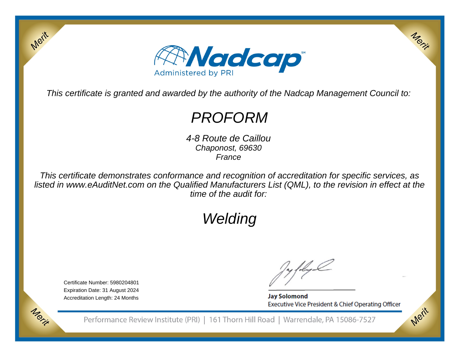

This certificate is granted and awarded by the authority of the Nadcap Management Council to:

## PROFORM

 4-8 Route de CaillouChaponost, 69630France

This certificate demonstrates conformance and recognition of accreditation for specific services, as listed in www.eAuditNet.com on the Qualified Manufacturers List (QML), to the revision in effect at thetime of the audit for:

# Welding

Certificate Number: 5980204801 Expiration Date: 31 August 2024Accreditation Length: 24 Months

Merit

Morie

**Jay Solomond** Executive Vice President & Chief Operating Officer Merit

Merit

Performance Review Institute (PRI) | 161 Thorn Hill Road | Warrendale, PA 15086-7527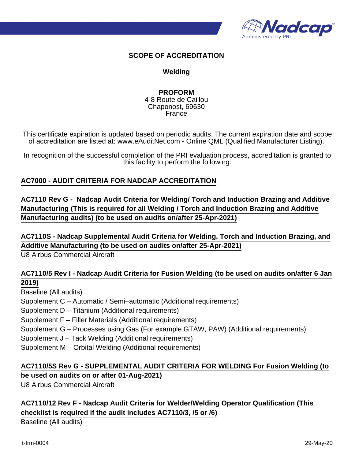

#### **SCOPE OF ACCREDITATION**

#### **Welding**

#### **PROFORM**

4-8 Route de Caillou Chaponost, 69630 France

This certificate expiration is updated based on periodic audits. The current expiration date and scope of accreditation are listed at: www.eAuditNet.com - Online QML (Qualified Manufacturer Listing).

In recognition of the successful completion of the PRI evaluation process, accreditation is granted to this facility to perform the following:

#### **AC7000 - AUDIT CRITERIA FOR NADCAP ACCREDITATION**

**AC7110 Rev G - Nadcap Audit Criteria for Welding/ Torch and Induction Brazing and Additive Manufacturing (This is required for all Welding / Torch and Induction Brazing and Additive Manufacturing audits) (to be used on audits on/after 25-Apr-2021)**

**AC7110S - Nadcap Supplemental Audit Criteria for Welding, Torch and Induction Brazing, and Additive Manufacturing (to be used on audits on/after 25-Apr-2021)**

U8 Airbus Commercial Aircraft

#### **AC7110/5 Rev I - Nadcap Audit Criteria for Fusion Welding (to be used on audits on/after 6 Jan 2019)**

Baseline (All audits)

Supplement C – Automatic / Semi–automatic (Additional requirements)

Supplement D – Titanium (Additional requirements)

Supplement F – Filler Materials (Additional requirements)

Supplement G – Processes using Gas (For example GTAW, PAW) (Additional requirements)

Supplement J – Tack Welding (Additional requirements)

Supplement M – Orbital Welding (Additional requirements)

### **AC7110/5S Rev G - SUPPLEMENTAL AUDIT CRITERIA FOR WELDING For Fusion Welding (to be used on audits on or after 01-Aug-2021)**

U8 Airbus Commercial Aircraft

## **AC7110/12 Rev F - Nadcap Audit Criteria for Welder/Welding Operator Qualification (This checklist is required if the audit includes AC7110/3, /5 or /6)**

Baseline (All audits)